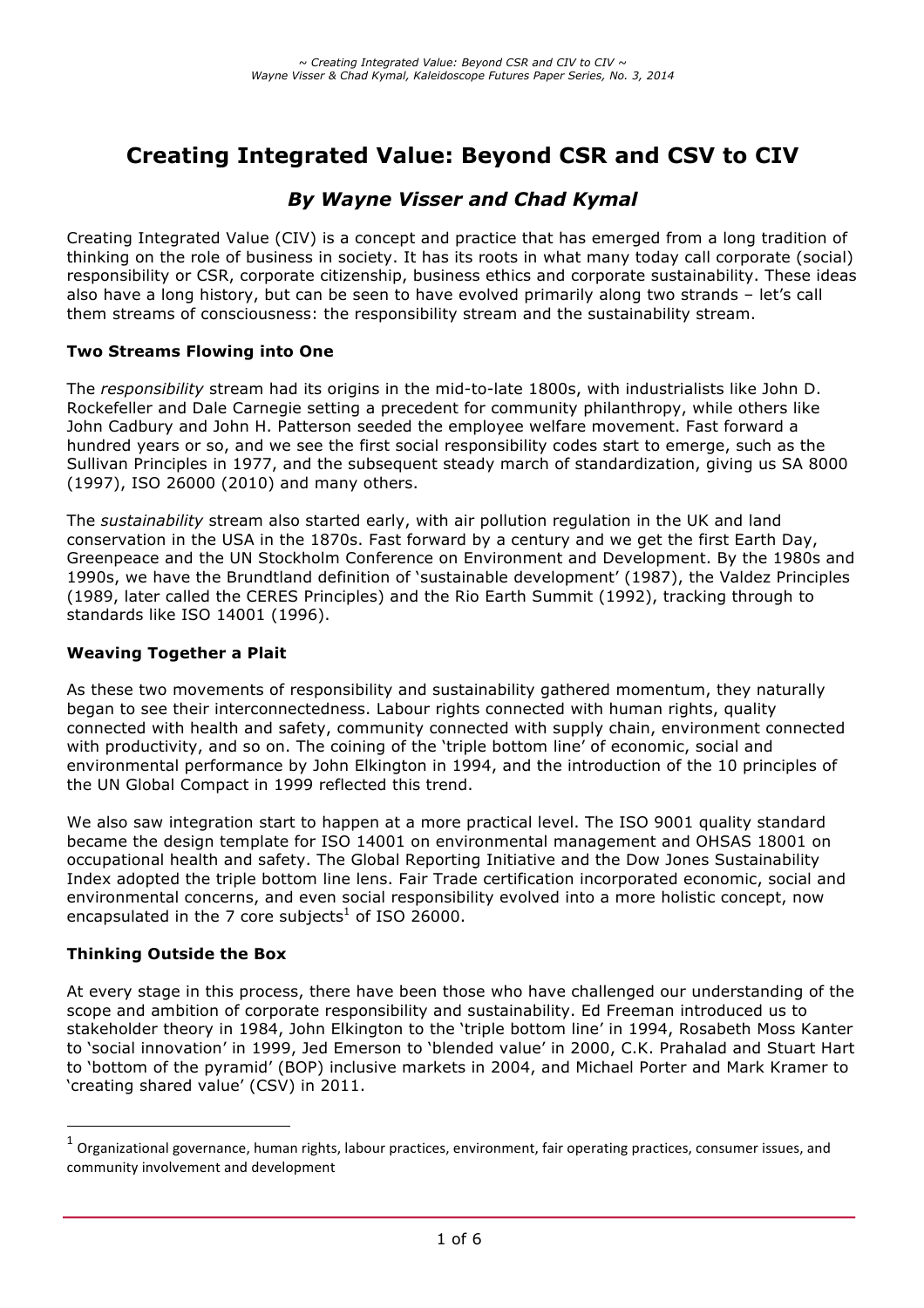# **Creating Integrated Value: Beyond CSR and CSV to CIV**

# *By Wayne Visser and Chad Kymal*

Creating Integrated Value (CIV) is a concept and practice that has emerged from a long tradition of thinking on the role of business in society. It has its roots in what many today call corporate (social) responsibility or CSR, corporate citizenship, business ethics and corporate sustainability. These ideas also have a long history, but can be seen to have evolved primarily along two strands – let's call them streams of consciousness: the responsibility stream and the sustainability stream.

## **Two Streams Flowing into One**

The *responsibility* stream had its origins in the mid-to-late 1800s, with industrialists like John D. Rockefeller and Dale Carnegie setting a precedent for community philanthropy, while others like John Cadbury and John H. Patterson seeded the employee welfare movement. Fast forward a hundred years or so, and we see the first social responsibility codes start to emerge, such as the Sullivan Principles in 1977, and the subsequent steady march of standardization, giving us SA 8000 (1997), ISO 26000 (2010) and many others.

The *sustainability* stream also started early, with air pollution regulation in the UK and land conservation in the USA in the 1870s. Fast forward by a century and we get the first Earth Day, Greenpeace and the UN Stockholm Conference on Environment and Development. By the 1980s and 1990s, we have the Brundtland definition of 'sustainable development' (1987), the Valdez Principles (1989, later called the CERES Principles) and the Rio Earth Summit (1992), tracking through to standards like ISO 14001 (1996).

### **Weaving Together a Plait**

As these two movements of responsibility and sustainability gathered momentum, they naturally began to see their interconnectedness. Labour rights connected with human rights, quality connected with health and safety, community connected with supply chain, environment connected with productivity, and so on. The coining of the 'triple bottom line' of economic, social and environmental performance by John Elkington in 1994, and the introduction of the 10 principles of the UN Global Compact in 1999 reflected this trend.

We also saw integration start to happen at a more practical level. The ISO 9001 quality standard became the design template for ISO 14001 on environmental management and OHSAS 18001 on occupational health and safety. The Global Reporting Initiative and the Dow Jones Sustainability Index adopted the triple bottom line lens. Fair Trade certification incorporated economic, social and environmental concerns, and even social responsibility evolved into a more holistic concept, now encapsulated in the 7 core subjects<sup>1</sup> of ISO 26000.

#### **Thinking Outside the Box**

 $\overline{a}$ 

At every stage in this process, there have been those who have challenged our understanding of the scope and ambition of corporate responsibility and sustainability. Ed Freeman introduced us to stakeholder theory in 1984, John Elkington to the 'triple bottom line' in 1994, Rosabeth Moss Kanter to 'social innovation' in 1999, Jed Emerson to 'blended value' in 2000, C.K. Prahalad and Stuart Hart to 'bottom of the pyramid' (BOP) inclusive markets in 2004, and Michael Porter and Mark Kramer to 'creating shared value' (CSV) in 2011.

Organizational governance, human rights, labour practices, environment, fair operating practices, consumer issues, and community involvement and development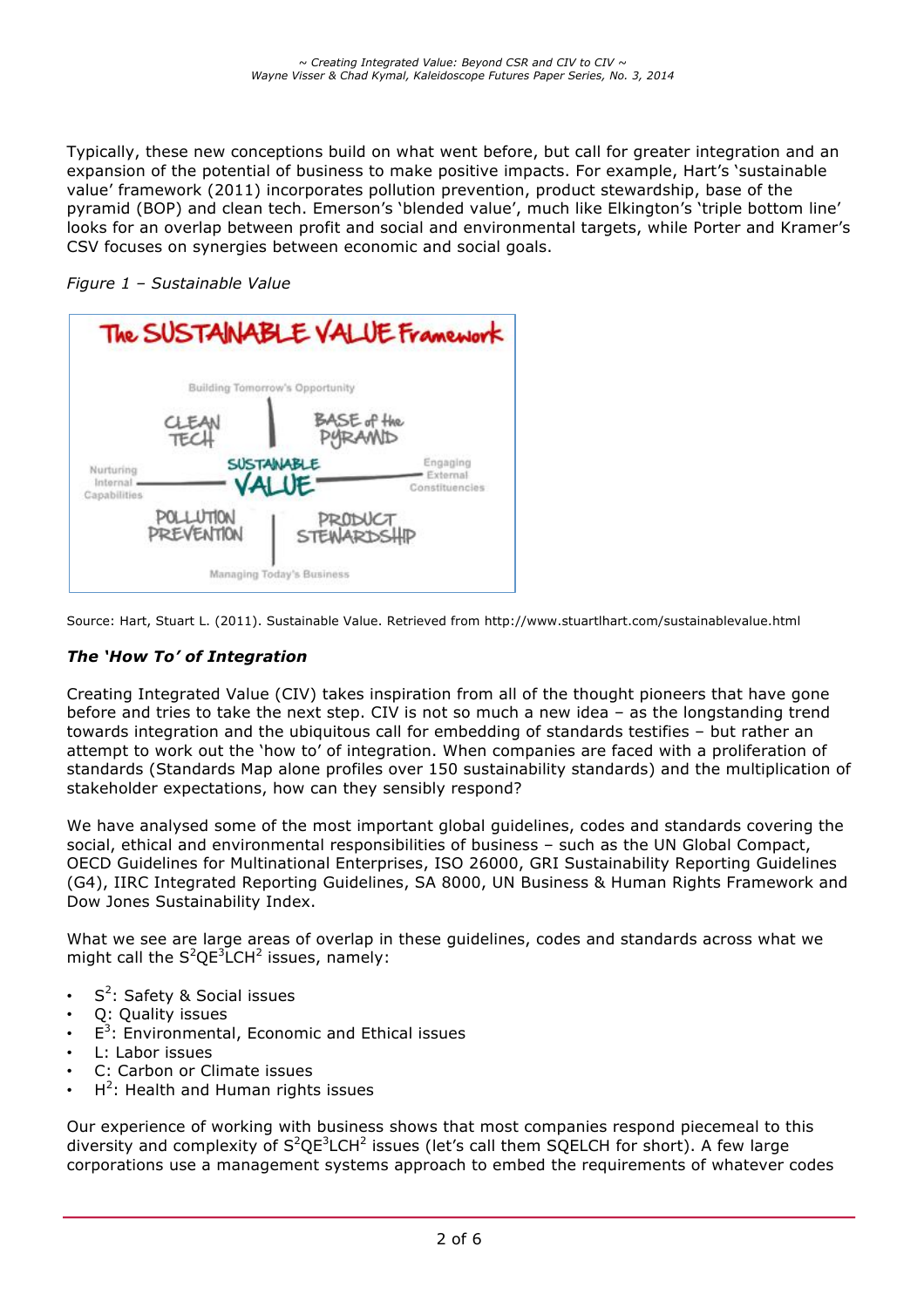Typically, these new conceptions build on what went before, but call for greater integration and an expansion of the potential of business to make positive impacts. For example, Hart's 'sustainable value' framework (2011) incorporates pollution prevention, product stewardship, base of the pyramid (BOP) and clean tech. Emerson's 'blended value', much like Elkington's 'triple bottom line' looks for an overlap between profit and social and environmental targets, while Porter and Kramer's CSV focuses on synergies between economic and social goals.

*Figure 1 – Sustainable Value*



Source: Hart, Stuart L. (2011). Sustainable Value. Retrieved from http://www.stuartlhart.com/sustainablevalue.html

## *The 'How To' of Integration*

Creating Integrated Value (CIV) takes inspiration from all of the thought pioneers that have gone before and tries to take the next step. CIV is not so much a new idea – as the longstanding trend towards integration and the ubiquitous call for embedding of standards testifies – but rather an attempt to work out the 'how to' of integration. When companies are faced with a proliferation of standards (Standards Map alone profiles over 150 sustainability standards) and the multiplication of stakeholder expectations, how can they sensibly respond?

We have analysed some of the most important global guidelines, codes and standards covering the social, ethical and environmental responsibilities of business – such as the UN Global Compact, OECD Guidelines for Multinational Enterprises, ISO 26000, GRI Sustainability Reporting Guidelines (G4), IIRC Integrated Reporting Guidelines, SA 8000, UN Business & Human Rights Framework and Dow Jones Sustainability Index.

What we see are large areas of overlap in these guidelines, codes and standards across what we might call the  $S^2QE^3LCH^2$  issues, namely:

- $S^2$ : Safety & Social issues
- Q: Quality issues
- $\cdot$   $E^3$ : Environmental, Economic and Ethical issues
- L: Labor issues
- C: Carbon or Climate issues
- $\cdot$  H<sup>2</sup>: Health and Human rights issues

Our experience of working with business shows that most companies respond piecemeal to this diversity and complexity of  $S^2QE^3LCH^2$  issues (let's call them SQELCH for short). A few large corporations use a management systems approach to embed the requirements of whatever codes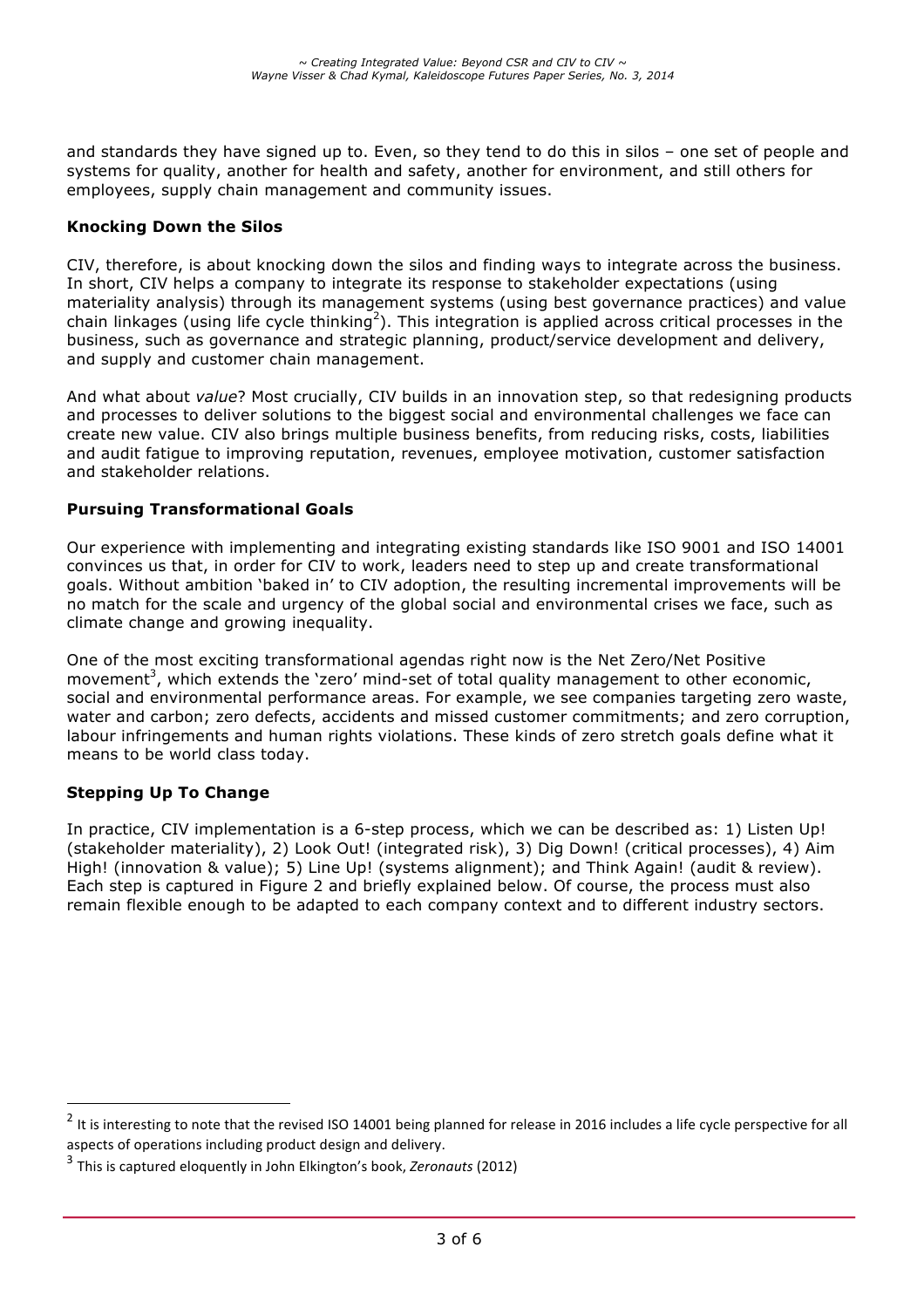and standards they have signed up to. Even, so they tend to do this in silos – one set of people and systems for quality, another for health and safety, another for environment, and still others for employees, supply chain management and community issues.

## **Knocking Down the Silos**

CIV, therefore, is about knocking down the silos and finding ways to integrate across the business. In short, CIV helps a company to integrate its response to stakeholder expectations (using materiality analysis) through its management systems (using best governance practices) and value chain linkages (using life cycle thinking<sup>2</sup>). This integration is applied across critical processes in the business, such as governance and strategic planning, product/service development and delivery, and supply and customer chain management.

And what about *value*? Most crucially, CIV builds in an innovation step, so that redesigning products and processes to deliver solutions to the biggest social and environmental challenges we face can create new value. CIV also brings multiple business benefits, from reducing risks, costs, liabilities and audit fatigue to improving reputation, revenues, employee motivation, customer satisfaction and stakeholder relations.

## **Pursuing Transformational Goals**

Our experience with implementing and integrating existing standards like ISO 9001 and ISO 14001 convinces us that, in order for CIV to work, leaders need to step up and create transformational goals. Without ambition 'baked in' to CIV adoption, the resulting incremental improvements will be no match for the scale and urgency of the global social and environmental crises we face, such as climate change and growing inequality.

One of the most exciting transformational agendas right now is the Net Zero/Net Positive movement<sup>3</sup>, which extends the 'zero' mind-set of total quality management to other economic, social and environmental performance areas. For example, we see companies targeting zero waste, water and carbon; zero defects, accidents and missed customer commitments; and zero corruption, labour infringements and human rights violations. These kinds of zero stretch goals define what it means to be world class today.

## **Stepping Up To Change**

 $\overline{a}$ 

In practice, CIV implementation is a 6-step process, which we can be described as: 1) Listen Up! (stakeholder materiality), 2) Look Out! (integrated risk), 3) Dig Down! (critical processes), 4) Aim High! (innovation & value); 5) Line Up! (systems alignment); and Think Again! (audit & review). Each step is captured in Figure 2 and briefly explained below. Of course, the process must also remain flexible enough to be adapted to each company context and to different industry sectors.

 $2$  It is interesting to note that the revised ISO 14001 being planned for release in 2016 includes a life cycle perspective for all aspects of operations including product design and delivery.

<sup>&</sup>lt;sup>3</sup> This is captured eloquently in John Elkington's book, *Zeronauts* (2012)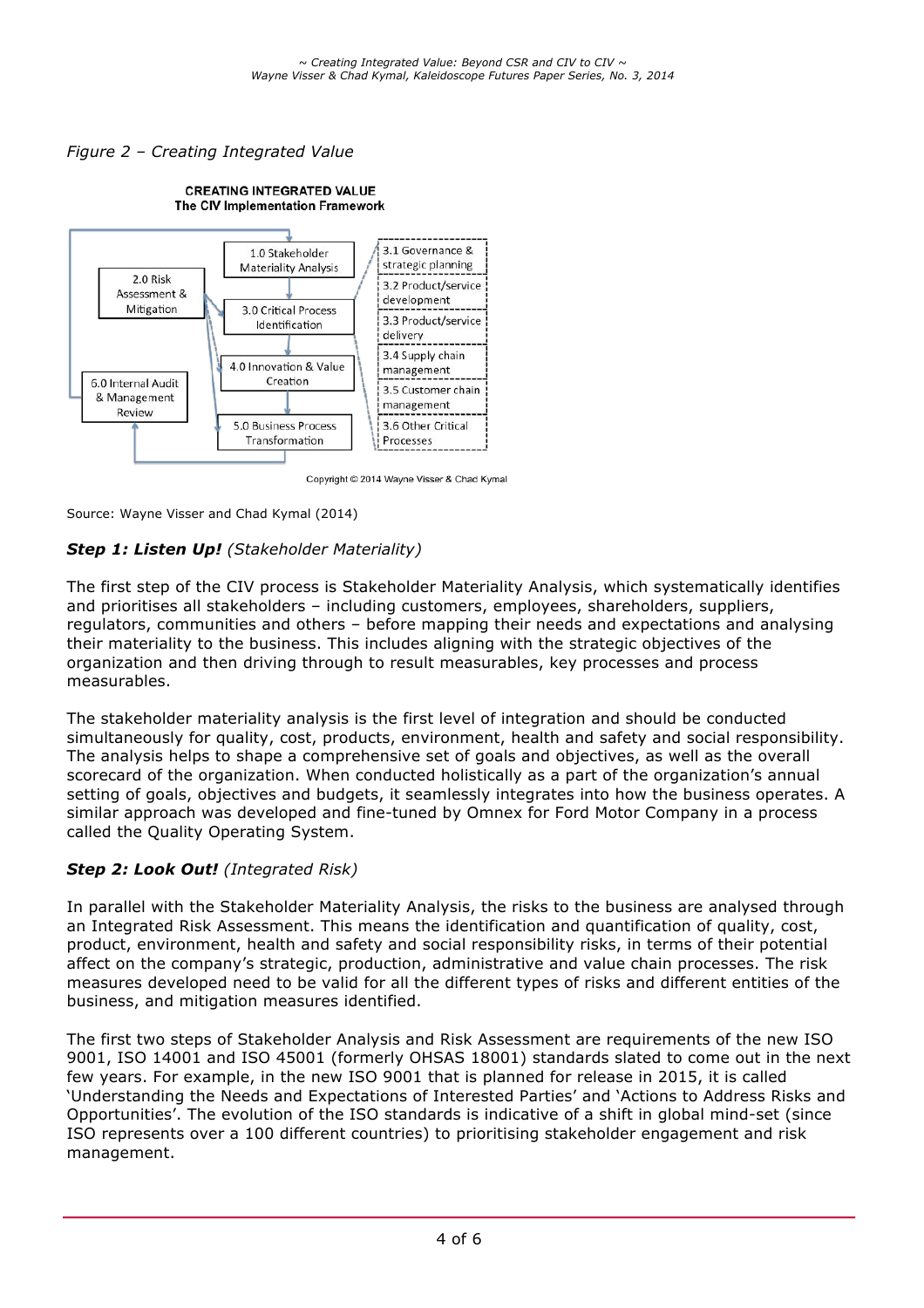# *Figure 2 – Creating Integrated Value*



Copyright @ 2014 Wayne Visser & Chad Kymal

Source: Wayne Visser and Chad Kymal (2014)

## *Step 1: Listen Up! (Stakeholder Materiality)*

The first step of the CIV process is Stakeholder Materiality Analysis, which systematically identifies and prioritises all stakeholders – including customers, employees, shareholders, suppliers, regulators, communities and others – before mapping their needs and expectations and analysing their materiality to the business. This includes aligning with the strategic objectives of the organization and then driving through to result measurables, key processes and process measurables.

The stakeholder materiality analysis is the first level of integration and should be conducted simultaneously for quality, cost, products, environment, health and safety and social responsibility. The analysis helps to shape a comprehensive set of goals and objectives, as well as the overall scorecard of the organization. When conducted holistically as a part of the organization's annual setting of goals, objectives and budgets, it seamlessly integrates into how the business operates. A similar approach was developed and fine-tuned by Omnex for Ford Motor Company in a process called the Quality Operating System.

## *Step 2: Look Out! (Integrated Risk)*

In parallel with the Stakeholder Materiality Analysis, the risks to the business are analysed through an Integrated Risk Assessment. This means the identification and quantification of quality, cost, product, environment, health and safety and social responsibility risks, in terms of their potential affect on the company's strategic, production, administrative and value chain processes. The risk measures developed need to be valid for all the different types of risks and different entities of the business, and mitigation measures identified.

The first two steps of Stakeholder Analysis and Risk Assessment are requirements of the new ISO 9001, ISO 14001 and ISO 45001 (formerly OHSAS 18001) standards slated to come out in the next few years. For example, in the new ISO 9001 that is planned for release in 2015, it is called 'Understanding the Needs and Expectations of Interested Parties' and 'Actions to Address Risks and Opportunities'. The evolution of the ISO standards is indicative of a shift in global mind-set (since ISO represents over a 100 different countries) to prioritising stakeholder engagement and risk management.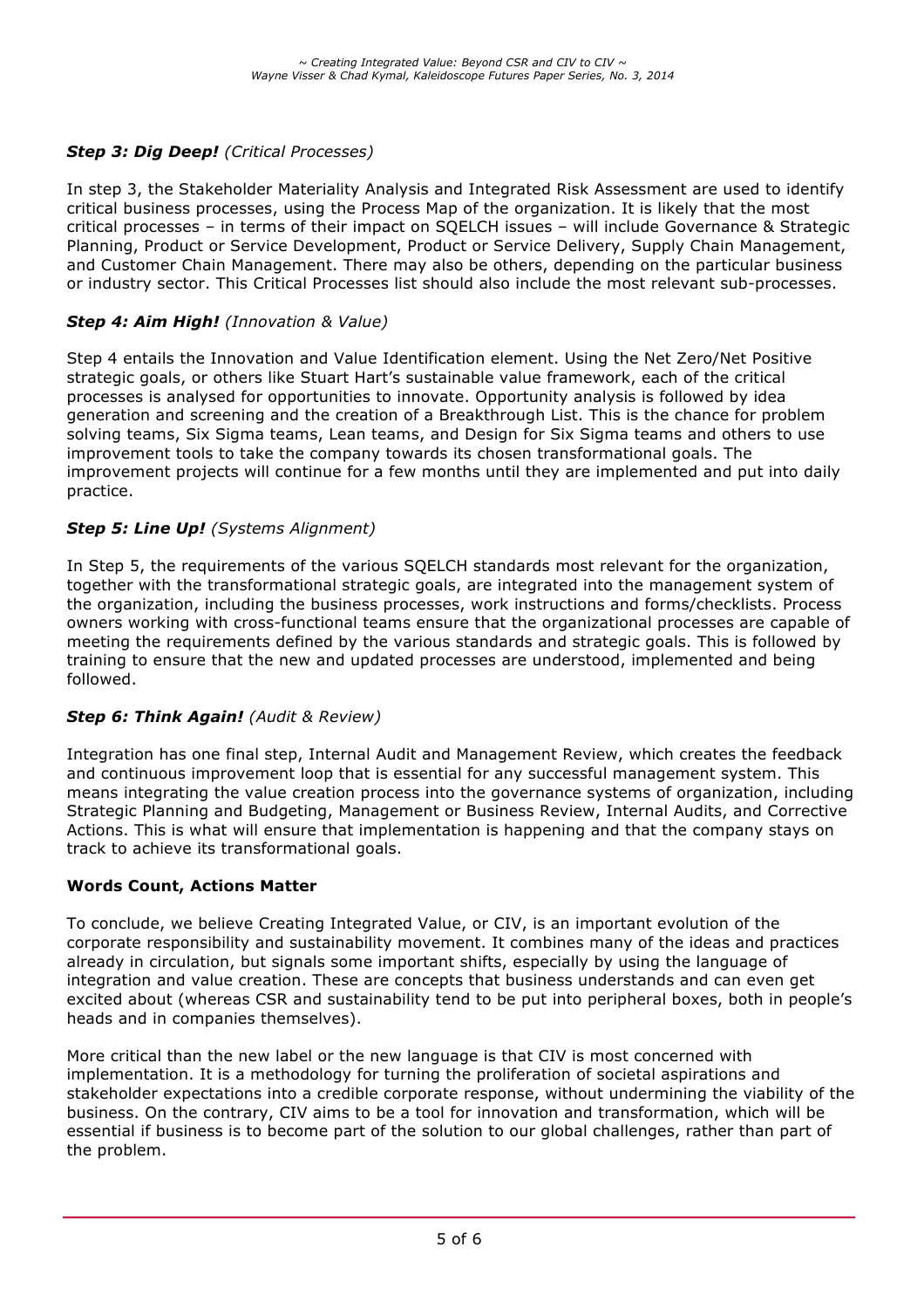## *Step 3: Dig Deep! (Critical Processes)*

In step 3, the Stakeholder Materiality Analysis and Integrated Risk Assessment are used to identify critical business processes, using the Process Map of the organization. It is likely that the most critical processes – in terms of their impact on SQELCH issues – will include Governance & Strategic Planning, Product or Service Development, Product or Service Delivery, Supply Chain Management, and Customer Chain Management. There may also be others, depending on the particular business or industry sector. This Critical Processes list should also include the most relevant sub-processes.

### *Step 4: Aim High! (Innovation & Value)*

Step 4 entails the Innovation and Value Identification element. Using the Net Zero/Net Positive strategic goals, or others like Stuart Hart's sustainable value framework, each of the critical processes is analysed for opportunities to innovate. Opportunity analysis is followed by idea generation and screening and the creation of a Breakthrough List. This is the chance for problem solving teams, Six Sigma teams, Lean teams, and Design for Six Sigma teams and others to use improvement tools to take the company towards its chosen transformational goals. The improvement projects will continue for a few months until they are implemented and put into daily practice.

## *Step 5: Line Up! (Systems Alignment)*

In Step 5, the requirements of the various SQELCH standards most relevant for the organization, together with the transformational strategic goals, are integrated into the management system of the organization, including the business processes, work instructions and forms/checklists. Process owners working with cross-functional teams ensure that the organizational processes are capable of meeting the requirements defined by the various standards and strategic goals. This is followed by training to ensure that the new and updated processes are understood, implemented and being followed.

#### *Step 6: Think Again! (Audit & Review)*

Integration has one final step, Internal Audit and Management Review, which creates the feedback and continuous improvement loop that is essential for any successful management system. This means integrating the value creation process into the governance systems of organization, including Strategic Planning and Budgeting, Management or Business Review, Internal Audits, and Corrective Actions. This is what will ensure that implementation is happening and that the company stays on track to achieve its transformational goals.

#### **Words Count, Actions Matter**

To conclude, we believe Creating Integrated Value, or CIV, is an important evolution of the corporate responsibility and sustainability movement. It combines many of the ideas and practices already in circulation, but signals some important shifts, especially by using the language of integration and value creation. These are concepts that business understands and can even get excited about (whereas CSR and sustainability tend to be put into peripheral boxes, both in people's heads and in companies themselves).

More critical than the new label or the new language is that CIV is most concerned with implementation. It is a methodology for turning the proliferation of societal aspirations and stakeholder expectations into a credible corporate response, without undermining the viability of the business. On the contrary, CIV aims to be a tool for innovation and transformation, which will be essential if business is to become part of the solution to our global challenges, rather than part of the problem.